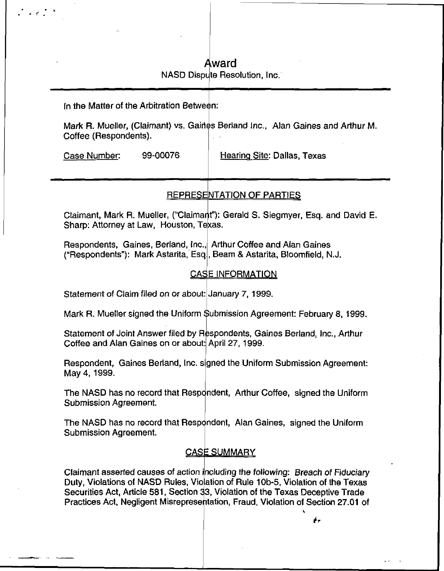# Award NASD Dispute Resolution, Inc.

In the Matter of the Arbitration Between

Mark R. Mueller, (Claimant) vs. Gaines Berland Inc., Alan Gaines and Arthur M. Coffee (Respondents).

Case Number: 99-00076 | Hearing Site: Dallas, Texas

 $\frac{1}{2}$  ,  $\frac{1}{2}$  ,  $\frac{1}{2}$  ,  $\frac{1}{2}$ 

# REPRESENTATION OF PARTIES

Claimant, Mark R. Mueller, ("Claimant"): Gerald S. Siegmyer, Esq. and David E. Sharp: Attorney at Law, Houston, Texas.

Respondents, Gaines, Berland, Inc., Arthur Coffee and Alan Gaines ("Respondents"): Mark Astarita, Esq , Beam & Astarita, Bloomfield, N.J.

## **CASE INFORMATION**

Statement of Claim filed on or about: January 7, 1999.

Mark R. Mueller signed the Uniform Submission Agreement: February 8, 1999.

Coffee and Alan Gaines on or about: April 27, 1999. Statement of Joint Answer filed by Respondents, Gaines Berland, Inc., Arthur

Respondent, Gaines Berland, Inc. signed the Uniform Submission Agreement: May 4, 1999.

The NASD has no record that Respondent, Arthur Coffee, signed the Uniform Submission Agreement.

The NASD has no record that Respondent, Alan Gaines, signed the Uniform Submission Agreement.

# <u>CASE SUMMARY</u>

Claimant asserted causes of action including the following: Breach of Fiduciary Duty, Violations of NASD Rules, Vioaation of Rule 10b-5, Violation of the Texas Securities Act, Article 581, Section 33, Violation of the Texas Deceptive Trade Practices Act, Negligent Misrepresentation , Fraud, Violation of Section 27.01 of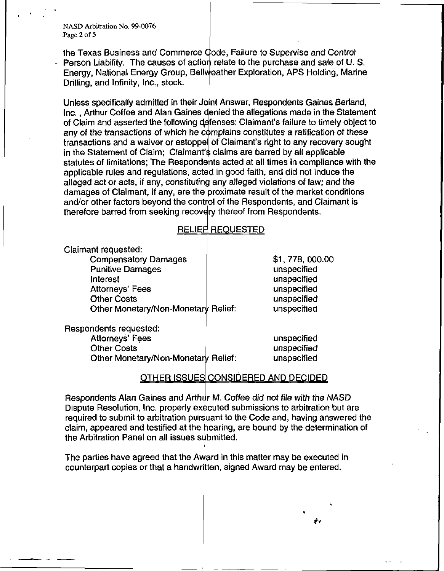NASD Arbitration No. 99-0076 Page 2 of 5

the Texas Business and Commerce Gode, Failure to Supervise and Control Person Liability. The causes of action relate to the purchase and sale of U.S. Energy, National Energy Group, Bellv eather Exploration, APS Holding, Marine Drilling, and Infinity, Inc., stock.

Unless specifically admitted in their Joint Answer, Respondents Gaines Berland, Inc., Arthur Coffee and Alan Gaines d enied the allegations made in the Statement of Claim and asserted the following defenses: Claimant's failure to timely object to any of the transactions of which he complains constitutes a ratification of these transactions and a waiver or estoppel of Claimant's right to any recovery sought in the Statement of Claim; Claimant's claims are barred by all applicable statutes of limitations; The Respondents acted at all times in compliance with the applicable rules and regulations, acted in good faith, and did not induce the alleged act or acts, if any, constituting any alleged violations of law; and the damages of Claimant, if any, are the proximate result of the market conditions and/or other factors beyond the control of the Respondents, and Claimant is therefore barred from seeking recovery thereof from Respondents.

### <u>RELIEFI REQUESTED</u>

Claimant requested: Compensatory Damages Punitive Damages

Interest Attorneys' Fees Other Costs Other Monetary/Non-Monetan Relief: \$1,778,000.00 unspecified unspecified unspecified unspecified unspecified

Respondents requested:

**Attorneys' Fees** Other Costs Other Monetary/Non-Monetary Relief: unspecified unspecified unspecified

## <u>OTHER ISSUES CONSIDERED AND DECIDED</u>

Respondents Alan Gaines and Arthur M. Coffee did not file with the NASD Dispute Resolution, Inc. properly executed submissions to arbitration but are required to submit to arbitration purs<mark>uant to the Code and, having answered the</mark> claim, appeared and testified at the hearing, are bound by the determination of the Arbitration Panel on all issues submitted.

The parties have agreed that the Award in this matter may be executed in counterpart copies or that a handwritten , signed Award may be entered.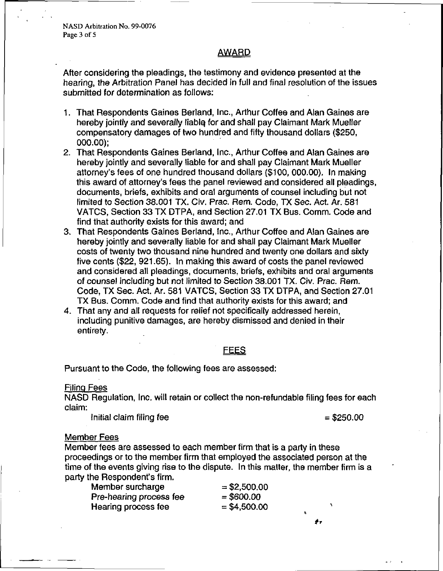NASD Arbitration No. 99-0076 Page 3 of 5

### **AWARD**

After considering the pleadings, the testimony and evidence presented at the hearing, the Arbitration Panel has decided in full and final resolution of the issues submitted for determination as follows:

- 1. That Respondents Gaines Berland, Inc., Arthur Coffee and Alan Gaines are hereby jointly and severally liablq for and shall pay Claimant Mark Mueller compensatory damages of two hundred and fifty thousand dollars (\$250, 000.00);
- 2. That Respondents Gaines Berland, Inc., Arthur Coffee and Alan Gaines are hereby jointly and severally liable for and shall pay Claimant Mark Mueller attorney's fees of one hundred thousand dollars (\$100, 000.00). In making this award of attorney's fees the panel reviewed and considered all pleadings, documents, briefs, exhibits and oral arguments of counsel including but not limited to Section 38.001 TX. Civ. Prac. Rem. Code, TX Sec. Act. Ar. 581 VATCS, Section 33 TX DTPA, and Section 27.01 TX Bus. Comm. Code and find that authority exists for this award; and
- 3. That Respondents Gaines Berland, Inc., Arthur Coffee and Alan Gaines are hereby jointly and severally liable for and shall pay Claimant Mark Mueller costs of twenty two thousand nine hundred and twenty one dollars and sixty five cents (\$22, 921.65). In making this award of costs the panel reviewed and considered all pleadings, documents, briefs, exhibits and oral arguments of counsel including but not limited to Section 38.001 TX. Civ. Prac. Rem. Code, TX Sec. Act. Ar. 581 VATCS, Section 33 TX DTPA, and Section 27.01 TX Bus. Comm. Code and find that authority exists for this award; and
- 4. That any and all requests for relief not specifically addressed herein, including punitive damages, are hereby dismissed and denied in their entirety.

### **FEES**

Pursuant to the Code, the following fees are assessed:

#### Filing Fees

NASD Regulation, Inc. will retain or collect the non-refundable filing fees for each claim:

Initial claim filing fee  $= $250.00$ 

#### Member Fees

Member fees are assessed to each member firm that is a party in these proceedings or to the member firm that employed the associated person at the time of the events giving rise to the dispute. In this matter, the member firm is a party the Respondent's firm.

| Member surcharge        | $=$ \$2,500.00 |  |
|-------------------------|----------------|--|
| Pre-hearing process fee | $=$ \$600.00   |  |
| Hearing process fee     | $=$ \$4,500.00 |  |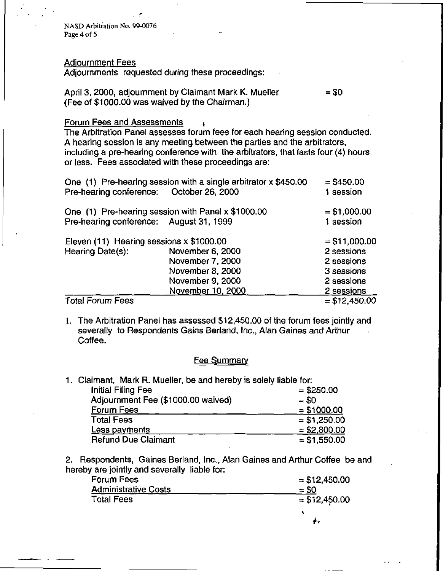NASD Arbitration No. 99-0076 Page 4 of 5

#### Adjournment Fees

Adjournments requested during these proceedings:

April 3, 2000, adjournment by Claimant Mark K. Mueller  $= $0$ (Fee of \$1000.00 was waived by the Chairman.)

#### Forum Fees and Assessments

The Arbitration Panel assesses forum fees for each hearing session conducted. A hearing session is any meeting between the parties and the arbitrators, including a pre-hearing conference with the arbitrators, that lasts four (4) hours or less. Fees associated with these proceedings are:

| Pre-hearing conference: October 26, 2000 | One (1) Pre-hearing session with a single arbitrator x \$450.00 | $= $450.00$<br>1 session |
|------------------------------------------|-----------------------------------------------------------------|--------------------------|
|                                          | One (1) Pre-hearing session with Panel x \$1000.00              | $= $1,000.00$            |
| Pre-hearing conference: August 31, 1999  |                                                                 | 1 session                |
| Eleven (11) Hearing sessions x \$1000.00 |                                                                 | $= $11,000.00$           |
| Hearing Date(s):                         | November 6, 2000                                                | 2 sessions               |
|                                          | November 7, 2000                                                | 2 sessions               |
|                                          | November 8, 2000                                                | 3 sessions               |
|                                          | November 9, 2000                                                | 2 sessions               |
|                                          | November 10, 2000                                               | 2 sessions               |
| <b>Total Forum Fees</b>                  |                                                                 | $= $12,450.00$           |

1. The Arbitration Panel has assessed \$12,450.00 of the forum fees jointly and severally to Respondents Gains Berland, Inc., Alan Gaines and Arthur Coffee.

#### Fee Summary

1. Claimant, Mark R. Mueller, be and hereby is solely liable for:

| Initial Filing Fee                 | $= $250.00$   |
|------------------------------------|---------------|
| Adjournment Fee (\$1000.00 waived) | $= $0$        |
| <b>Forum Fees</b>                  | $= $1000.00$  |
| <b>Total Fees</b>                  | $= $1,250.00$ |
| Less payments                      | $= $2,800.00$ |
| <b>Refund Due Claimant</b>         | $= $1,550.00$ |

2. Respondents, Gaines Berland, Inc., Alan Gaines and Arthur Coffee be and hereby are jointly and severally liable for:

| Forum Fees                  | $=$ \$12,450.00 |
|-----------------------------|-----------------|
| <b>Administrative Costs</b> | $=$ \$0         |
| <b>Total Fees</b>           | $= $12,450.00$  |
|                             |                 |

¢,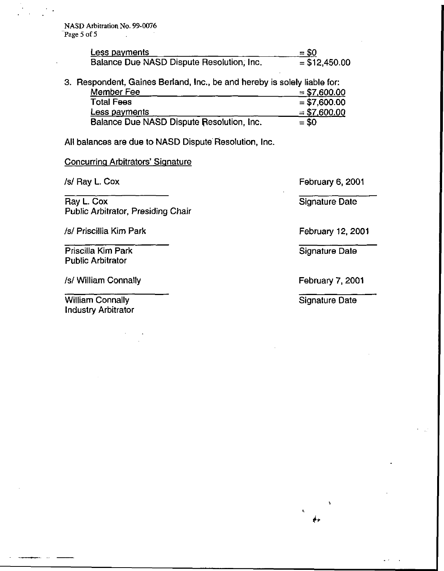| Less payments                             | $= $0$          |
|-------------------------------------------|-----------------|
| Balance Due NASD Dispute Resolution, Inc. | $=$ \$12,450.00 |

3. Respondent, Gaines Berland, Inc., be and hereby is solely liable for:

| Member Fee                                | $= $7,600.00$ |
|-------------------------------------------|---------------|
| <b>Total Fees</b>                         | $= $7,600.00$ |
| Less payments                             | $= $7,600.00$ |
| Balance Due NASD Dispute Resolution, Inc. | $= $0$        |

All balances are due to NASD Dispute Resolution, Inc.

### **Concurring Arbitrators' Signature**

/s/ Ray L. Cox

Ray L. Cox Public Arbitrator, Presiding Chair

/s/ Priscillia Kim Park

Priscilla Kim Park Public Arbitrator

/s/ William Connally

William Connally Industry Arbitrator February 6, 2001

Signature Date

February 12,2001

Signature Date

February 7, 2001

Signature Date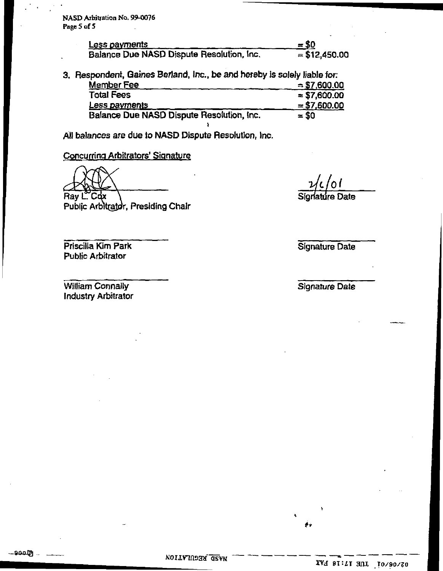NASD Arbitration No. 99-0076 Page 5 of 5

| <u>Less payments</u>                      | $=$ \$0        |
|-------------------------------------------|----------------|
| Balance Due NASD Dispute Resolution, Inc. | $= $12,450.00$ |

3. Respondent, Gaines Berland, Inc., be and hereby is solely liable for: Member Fee Total Fees Less payments Balance Due NASD Dispute Resolution, Inc.  $= $7,600.00$  $= $7,600.00$  $= 50$ 

»

All balances are due to NASD Dispute Resolution, inc.

Concurring Arbitrators' Signature

Ray L"Cox

Public Arbitrator, Presiding Chair

Priscilla Kim Park Public Arbitrator

William Connally Industry Arbitrator

—9005)<br>—9005

7/C/Of Signature Date

Signature Date

Signature Date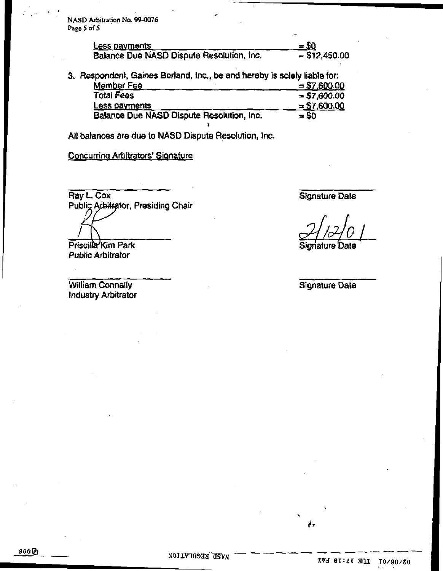NASD Arbitration No. 99-0076 Page 5 of 5

| <b>Less payments</b>                      | $=$ \$Q        |
|-------------------------------------------|----------------|
| Balance Due NASD Dispute Resolution, Inc. | $= $12,450.00$ |

3. Respondent, Gaines Berland, lncM be and hereby is solely liable for: Member Fee Total Fees Less payments  $= $7,600.00$  $= $7,600.00$ <br>= \$0 Balance Due NASD Dispute Resolution, Inc.  $= $0$ 

All balances are due to NASD Dispute Resolution, Inc.

Concurring Arbitrators' Signature

Ray L. Cox Public Arbitrator, Presiding Chair

Priscilla Kim Park Public Arbitrator

William Connally Industry Arbitrator Signature Date

Signature Date

Signature Date

900 ig)